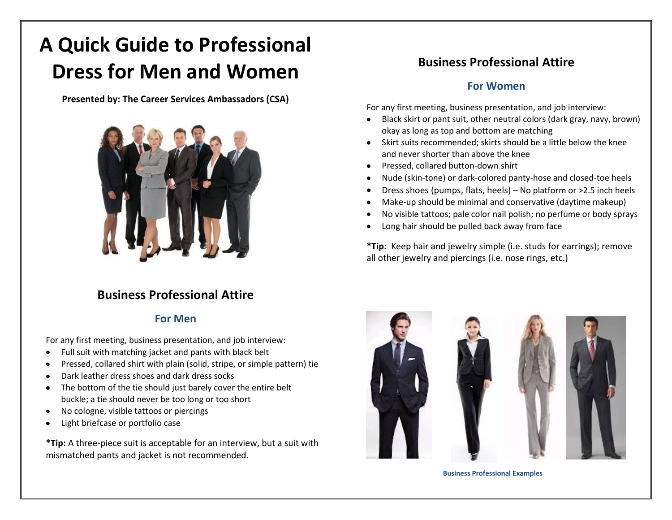# **A Quick Guide to Professional Dress for Men and Women**

**Presented by: The Career Services Ambassadors (CSA)**



# **Business Professional Attire**

#### **For Men**

For any first meeting, business presentation, and job interview:

- Full suit with matching jacket and pants with black belt
- Pressed, collared shirt with plain (solid, stripe, or simple pattern) tie
- Dark leather dress shoes and dark dress socks
- The bottom of the tie should just barely cover the entire belt buckle; a tie should never be too long or too short
- No cologne, visible tattoos or piercings
- Light briefcase or portfolio case

**\*Tip:** A three-piece suit is acceptable for an interview, but a suit with mismatched pants and jacket is not recommended.

# **Business Professional Attire**

#### **For Women**

For any first meeting, business presentation, and job interview:

- Black skirt or pant suit, other neutral colors (dark gray, navy, brown)  $\bullet$ okay as long as top and bottom are matching
- Skirt suits recommended; skirts should be a little below the knee and never shorter than above the knee
- Pressed, collared button-down shirt
- Nude (skin-tone) or dark-colored panty-hose and closed-toe heels
- Dress shoes (pumps, flats, heels) No platform or >2.5 inch heels
- Make-up should be minimal and conservative (daytime makeup)
- No visible tattoos; pale color nail polish; no perfume or body sprays
- Long hair should be pulled back away from face

**\*Tip:** Keep hair and jewelry simple (i.e. studs for earrings); remove all other jewelry and piercings (i.e. nose rings, etc.)



**Business Professional Examples**